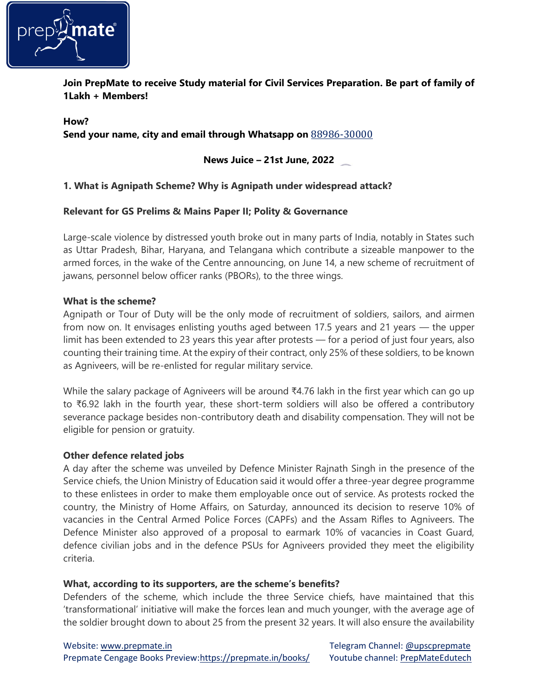

**Join PrepMate to receive Study material for Civil Services Preparation. Be part of family of 1Lakh + Members!**

**How? Send your name, city and email through Whatsapp on** 88986-30000

**News Juice – 21st June, 2022**

# **1. What is Agnipath Scheme? Why is Agnipath under widespread attack?**

## **Relevant for GS Prelims & Mains Paper II; Polity & Governance**

Large-scale violence by distressed youth broke out in many parts of India, notably in States such as Uttar Pradesh, Bihar, Haryana, and Telangana which contribute a sizeable manpower to the armed forces, in the wake of the Centre announcing, on June 14, a new scheme of recruitment of jawans, personnel below officer ranks (PBORs), to the three wings.

## **What is the scheme?**

Agnipath or Tour of Duty will be the only mode of recruitment of soldiers, sailors, and airmen from now on. It envisages enlisting youths aged between 17.5 years and 21 years — the upper limit has been extended to 23 years this year after protests — for a period of just four years, also counting their training time. At the expiry of their contract, only 25% of these soldiers, to be known as Agniveers, will be re-enlisted for regular military service.

While the salary package of Agniveers will be around ₹4.76 lakh in the first year which can go up to ₹6.92 lakh in the fourth year, these short-term soldiers will also be offered a contributory severance package besides non-contributory death and disability compensation. They will not be eligible for pension or gratuity.

## **Other defence related jobs**

A day after the scheme was unveiled by Defence Minister Rajnath Singh in the presence of the Service chiefs, the Union Ministry of Education said it would offer a three-year degree programme to these enlistees in order to make them employable once out of service. As protests rocked the country, the Ministry of Home Affairs, on Saturday, announced its decision to reserve 10% of vacancies in the Central Armed Police Forces (CAPFs) and the Assam Rifles to Agniveers. The Defence Minister also approved of a proposal to earmark 10% of vacancies in Coast Guard, defence civilian jobs and in the defence PSUs for Agniveers provided they meet the eligibility criteria.

## **What, according to its supporters, are the scheme's benefits?**

Defenders of the scheme, which include the three Service chiefs, have maintained that this 'transformational' initiative will make the forces lean and much younger, with the average age of the soldier brought down to about 25 from the present 32 years. It will also ensure the availability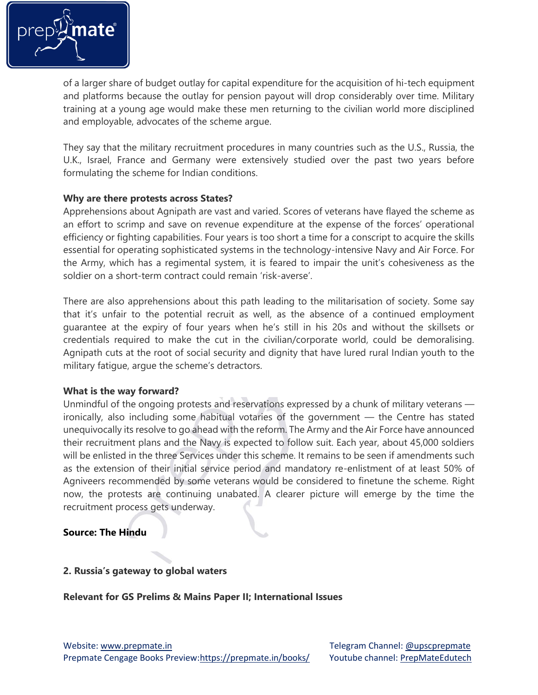

of a larger share of budget outlay for capital expenditure for the acquisition of hi-tech equipment and platforms because the outlay for pension payout will drop considerably over time. Military training at a young age would make these men returning to the civilian world more disciplined and employable, advocates of the scheme argue.

They say that the military recruitment procedures in many countries such as the U.S., Russia, the U.K., Israel, France and Germany were extensively studied over the past two years before formulating the scheme for Indian conditions.

## **Why are there protests across States?**

Apprehensions about Agnipath are vast and varied. Scores of veterans have flayed the scheme as an effort to scrimp and save on revenue expenditure at the expense of the forces' operational efficiency or fighting capabilities. Four years is too short a time for a conscript to acquire the skills essential for operating sophisticated systems in the technology-intensive Navy and Air Force. For the Army, which has a regimental system, it is feared to impair the unit's cohesiveness as the soldier on a short-term contract could remain 'risk-averse'.

There are also apprehensions about this path leading to the militarisation of society. Some say that it's unfair to the potential recruit as well, as the absence of a continued employment guarantee at the expiry of four years when he's still in his 20s and without the skillsets or credentials required to make the cut in the civilian/corporate world, could be demoralising. Agnipath cuts at the root of social security and dignity that have lured rural Indian youth to the military fatigue, argue the scheme's detractors.

## **What is the way forward?**

Unmindful of the ongoing protests and reservations expressed by a chunk of military veterans ironically, also including some habitual votaries of the government — the Centre has stated unequivocally its resolve to go ahead with the reform. The Army and the Air Force have announced their recruitment plans and the Navy is expected to follow suit. Each year, about 45,000 soldiers will be enlisted in the three Services under this scheme. It remains to be seen if amendments such as the extension of their initial service period and mandatory re-enlistment of at least 50% of Agniveers recommended by some veterans would be considered to finetune the scheme. Right now, the protests are continuing unabated. A clearer picture will emerge by the time the recruitment process gets underway.

# **Source: The Hindu**

# **2. Russia's gateway to global waters**

# **Relevant for GS Prelims & Mains Paper II; International Issues**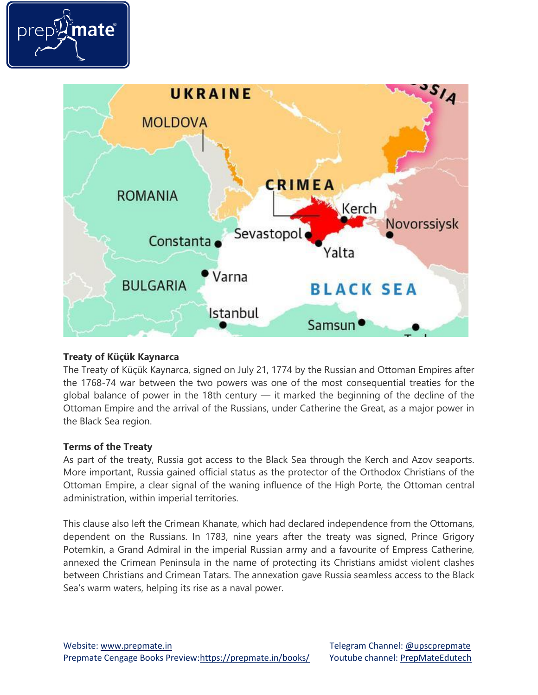



## **Treaty of Küçük Kaynarca**

The Treaty of Küçük Kaynarca, signed on July 21, 1774 by the Russian and Ottoman Empires after the 1768-74 war between the two powers was one of the most consequential treaties for the global balance of power in the 18th century — it marked the beginning of the decline of the Ottoman Empire and the arrival of the Russians, under Catherine the Great, as a major power in the Black Sea region.

## **Terms of the Treaty**

As part of the treaty, Russia got access to the Black Sea through the Kerch and Azov seaports. More important, Russia gained official status as the protector of the Orthodox Christians of the Ottoman Empire, a clear signal of the waning influence of the High Porte, the Ottoman central administration, within imperial territories.

This clause also left the Crimean Khanate, which had declared independence from the Ottomans, dependent on the Russians. In 1783, nine years after the treaty was signed, Prince Grigory Potemkin, a Grand Admiral in the imperial Russian army and a favourite of Empress Catherine, annexed the Crimean Peninsula in the name of protecting its Christians amidst violent clashes between Christians and Crimean Tatars. The annexation gave Russia seamless access to the Black Sea's warm waters, helping its rise as a naval power.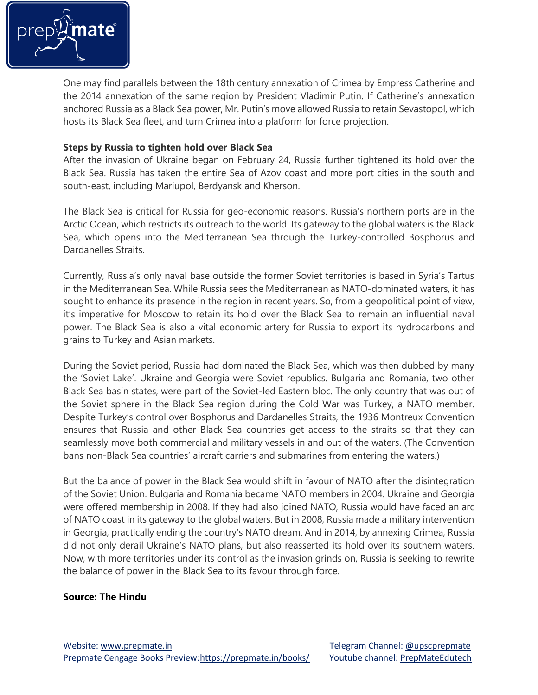

One may find parallels between the 18th century annexation of Crimea by Empress Catherine and the 2014 annexation of the same region by President Vladimir Putin. If Catherine's annexation anchored Russia as a Black Sea power, Mr. Putin's move allowed Russia to retain Sevastopol, which hosts its Black Sea fleet, and turn Crimea into a platform for force projection.

## **Steps by Russia to tighten hold over Black Sea**

After the invasion of Ukraine began on February 24, Russia further tightened its hold over the Black Sea. Russia has taken the entire Sea of Azov coast and more port cities in the south and south-east, including Mariupol, Berdyansk and Kherson.

The Black Sea is critical for Russia for geo-economic reasons. Russia's northern ports are in the Arctic Ocean, which restricts its outreach to the world. Its gateway to the global waters is the Black Sea, which opens into the Mediterranean Sea through the Turkey-controlled Bosphorus and Dardanelles Straits.

Currently, Russia's only naval base outside the former Soviet territories is based in Syria's Tartus in the Mediterranean Sea. While Russia sees the Mediterranean as NATO-dominated waters, it has sought to enhance its presence in the region in recent years. So, from a geopolitical point of view, it's imperative for Moscow to retain its hold over the Black Sea to remain an influential naval power. The Black Sea is also a vital economic artery for Russia to export its hydrocarbons and grains to Turkey and Asian markets.

During the Soviet period, Russia had dominated the Black Sea, which was then dubbed by many the 'Soviet Lake'. Ukraine and Georgia were Soviet republics. Bulgaria and Romania, two other Black Sea basin states, were part of the Soviet-led Eastern bloc. The only country that was out of the Soviet sphere in the Black Sea region during the Cold War was Turkey, a NATO member. Despite Turkey's control over Bosphorus and Dardanelles Straits, the 1936 Montreux Convention ensures that Russia and other Black Sea countries get access to the straits so that they can seamlessly move both commercial and military vessels in and out of the waters. (The Convention bans non-Black Sea countries' aircraft carriers and submarines from entering the waters.)

But the balance of power in the Black Sea would shift in favour of NATO after the disintegration of the Soviet Union. Bulgaria and Romania became NATO members in 2004. Ukraine and Georgia were offered membership in 2008. If they had also joined NATO, Russia would have faced an arc of NATO coast in its gateway to the global waters. But in 2008, Russia made a military intervention in Georgia, practically ending the country's NATO dream. And in 2014, by annexing Crimea, Russia did not only derail Ukraine's NATO plans, but also reasserted its hold over its southern waters. Now, with more territories under its control as the invasion grinds on, Russia is seeking to rewrite the balance of power in the Black Sea to its favour through force.

## **Source: The Hindu**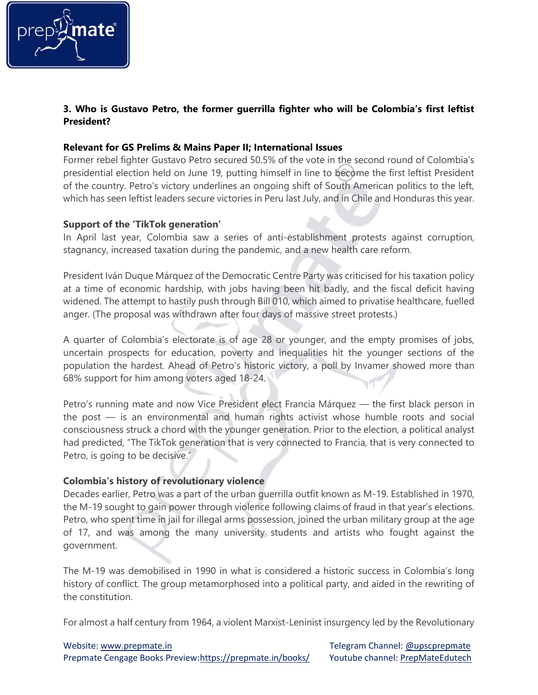

# **3. Who is Gustavo Petro, the former guerrilla fighter who will be Colombia's first leftist President?**

## **Relevant for GS Prelims & Mains Paper II; International Issues**

Former rebel fighter Gustavo Petro secured 50.5% of the vote in the second round of Colombia's presidential election held on June 19, putting himself in line to become the first leftist President of the country. Petro's victory underlines an ongoing shift of South American politics to the left, which has seen leftist leaders secure victories in Peru last July, and in Chile and Honduras this year.

## **Support of the 'TikTok generation'**

In April last year, Colombia saw a series of anti-establishment protests against corruption, stagnancy, increased taxation during the pandemic, and a new health care reform.

President Iván Duque Márquez of the Democratic Centre Party was criticised for his taxation policy at a time of economic hardship, with jobs having been hit badly, and the fiscal deficit having widened. The attempt to hastily push through Bill 010, which aimed to privatise healthcare, fuelled anger. (The proposal was withdrawn after four days of massive street protests.)

A quarter of Colombia's electorate is of age 28 or younger, and the empty promises of jobs, uncertain prospects for education, poverty and inequalities hit the younger sections of the population the hardest. Ahead of Petro's historic victory, a poll by Invamer showed more than 68% support for him among voters aged 18-24.

Petro's running mate and now Vice President elect Francia Márquez — the first black person in the post — is an environmental and human rights activist whose humble roots and social consciousness struck a chord with the younger generation. Prior to the election, a political analyst had predicted, "The TikTok generation that is very connected to Francia, that is very connected to Petro, is going to be decisive."

# **Colombia's history of revolutionary violence**

Decades earlier, Petro was a part of the urban guerrilla outfit known as M-19. Established in 1970, the M-19 sought to gain power through violence following claims of fraud in that year's elections. Petro, who spent time in jail for illegal arms possession, joined the urban military group at the age of 17, and was among the many university students and artists who fought against the government.

The M-19 was demobilised in 1990 in what is considered a historic success in Colombia's long history of conflict. The group metamorphosed into a political party, and aided in the rewriting of the constitution.

For almost a half century from 1964, a violent Marxist-Leninist insurgency led by the Revolutionary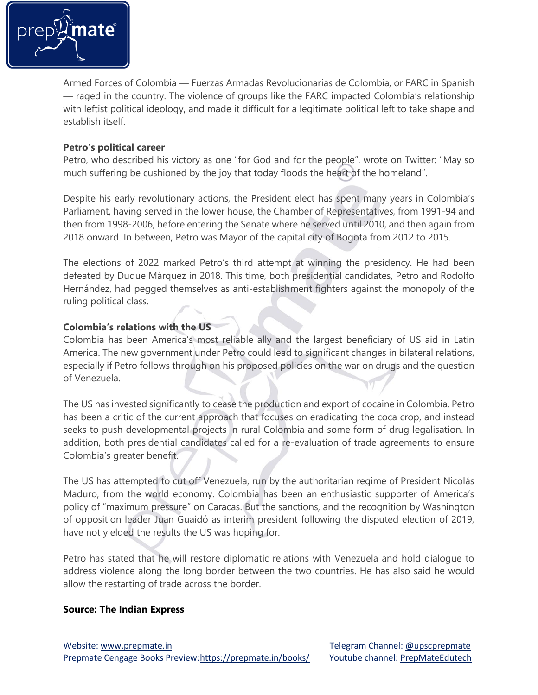

Armed Forces of Colombia — Fuerzas Armadas Revolucionarias de Colombia, or FARC in Spanish — raged in the country. The violence of groups like the FARC impacted Colombia's relationship with leftist political ideology, and made it difficult for a legitimate political left to take shape and establish itself.

## **Petro's political career**

Petro, who described his victory as one "for God and for the people", wrote on Twitter: "May so much suffering be cushioned by the joy that today floods the heart of the homeland".

Despite his early revolutionary actions, the President elect has spent many years in Colombia's Parliament, having served in the lower house, the Chamber of Representatives, from 1991-94 and then from 1998-2006, before entering the Senate where he served until 2010, and then again from 2018 onward. In between, Petro was Mayor of the capital city of Bogota from 2012 to 2015.

The elections of 2022 marked Petro's third attempt at winning the presidency. He had been defeated by Duque Márquez in 2018. This time, both presidential candidates, Petro and Rodolfo Hernández, had pegged themselves as anti-establishment fighters against the monopoly of the ruling political class.

## **Colombia's relations with the US**

Colombia has been America's most reliable ally and the largest beneficiary of US aid in Latin America. The new government under Petro could lead to significant changes in bilateral relations, especially if Petro follows through on his proposed policies on the war on drugs and the question of Venezuela.

The US has invested significantly to cease the production and export of cocaine in Colombia. Petro has been a critic of the current approach that focuses on eradicating the coca crop, and instead seeks to push developmental projects in rural Colombia and some form of drug legalisation. In addition, both presidential candidates called for a re-evaluation of trade agreements to ensure Colombia's greater benefit.

The US has attempted to cut off Venezuela, run by the authoritarian regime of President Nicolás Maduro, from the world economy. Colombia has been an enthusiastic supporter of America's policy of "maximum pressure" on Caracas. But the sanctions, and the recognition by Washington of opposition leader Juan Guaidó as interim president following the disputed election of 2019, have not yielded the results the US was hoping for.

Petro has stated that he will restore diplomatic relations with Venezuela and hold dialogue to address violence along the long border between the two countries. He has also said he would allow the restarting of trade across the border.

## **Source: The Indian Express**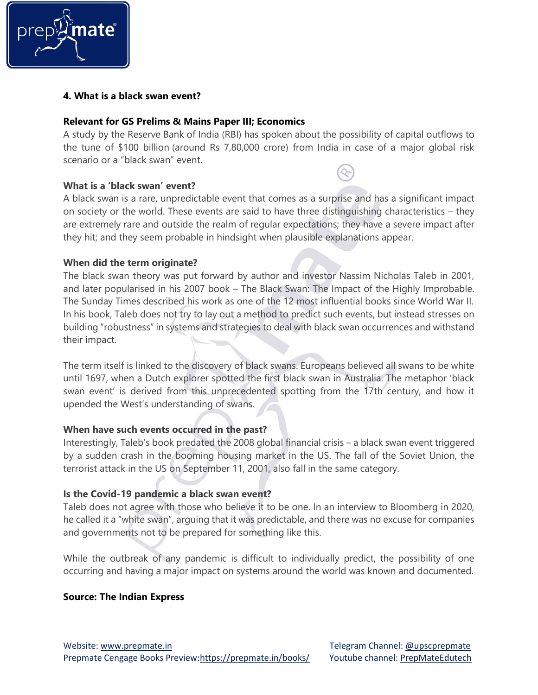

### **4. What is a black swan event?**

#### **Relevant for GS Prelims & Mains Paper III; Economics**

A study by the Reserve Bank of India (RBI) has spoken about the possibility of capital outflows to the tune of \$100 billion (around Rs 7,80,000 crore) from India in case of a major global risk scenario or a "black swan" event.

### **What is a 'black swan' event?**

A black swan is a rare, unpredictable event that comes as a surprise and has a significant impact on society or the world. These events are said to have three distinguishing characteristics – they are extremely rare and outside the realm of regular expectations; they have a severe impact after they hit; and they seem probable in hindsight when plausible explanations appear.

## **When did the term originate?**

The black swan theory was put forward by author and investor Nassim Nicholas Taleb in 2001, and later popularised in his 2007 book – The Black Swan: The Impact of the Highly Improbable. The Sunday Times described his work as one of the 12 most influential books since World War II. In his book, Taleb does not try to lay out a method to predict such events, but instead stresses on building "robustness" in systems and strategies to deal with black swan occurrences and withstand their impact.

The term itself is linked to the discovery of black swans. Europeans believed all swans to be white until 1697, when a Dutch explorer spotted the first black swan in Australia. The metaphor 'black swan event' is derived from this unprecedented spotting from the 17th century, and how it upended the West's understanding of swans.

## **When have such events occurred in the past?**

Interestingly, Taleb's book predated the 2008 global financial crisis – a black swan event triggered by a sudden crash in the booming housing market in the US. The fall of the Soviet Union, the terrorist attack in the US on September 11, 2001, also fall in the same category.

## **Is the Covid-19 pandemic a black swan event?**

Taleb does not agree with those who believe it to be one. In an interview to Bloomberg in 2020, he called it a "white swan", arguing that it was predictable, and there was no excuse for companies and governments not to be prepared for something like this.

While the outbreak of any pandemic is difficult to individually predict, the possibility of one occurring and having a major impact on systems around the world was known and documented.

#### **Source: The Indian Express**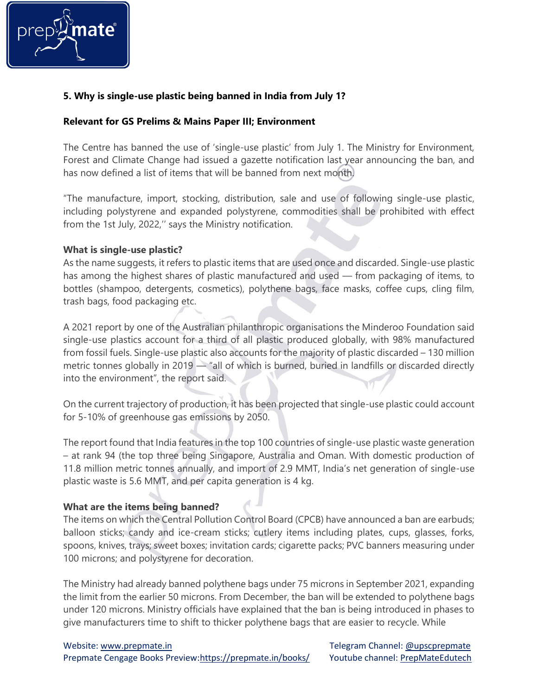

# **5. Why is single-use plastic being banned in India from July 1?**

## **Relevant for GS Prelims & Mains Paper III; Environment**

The Centre has banned the use of 'single-use plastic' from July 1. The Ministry for Environment, Forest and Climate Change had issued a gazette notification last year announcing the ban, and has now defined a list of items that will be banned from next month.

"The manufacture, import, stocking, distribution, sale and use of following single-use plastic, including polystyrene and expanded polystyrene, commodities shall be prohibited with effect from the 1st July, 2022,'' says the Ministry notification.

## **What is single-use plastic?**

As the name suggests, it refers to plastic items that are used once and discarded. Single-use plastic has among the highest shares of plastic manufactured and used — from packaging of items, to bottles (shampoo, detergents, cosmetics), polythene bags, face masks, coffee cups, cling film, trash bags, food packaging etc.

A 2021 report by one of the Australian philanthropic organisations the Minderoo Foundation said single-use plastics account for a third of all plastic produced globally, with 98% manufactured from fossil fuels. Single-use plastic also accounts for the majority of plastic discarded – 130 million metric tonnes globally in 2019 — "all of which is burned, buried in landfills or discarded directly into the environment", the report said.

On the current trajectory of production, it has been projected that single-use plastic could account for 5-10% of greenhouse gas emissions by 2050.

The report found that India features in the top 100 countries of single-use plastic waste generation – at rank 94 (the top three being Singapore, Australia and Oman. With domestic production of 11.8 million metric tonnes annually, and import of 2.9 MMT, India's net generation of single-use plastic waste is 5.6 MMT, and per capita generation is 4 kg.

# **What are the items being banned?**

The items on which the Central Pollution Control Board (CPCB) have announced a ban are earbuds; balloon sticks; candy and ice-cream sticks; cutlery items including plates, cups, glasses, forks, spoons, knives, trays; sweet boxes; invitation cards; cigarette packs; PVC banners measuring under 100 microns; and polystyrene for decoration.

The Ministry had already banned polythene bags under 75 microns in September 2021, expanding the limit from the earlier 50 microns. From December, the ban will be extended to polythene bags under 120 microns. Ministry officials have explained that the ban is being introduced in phases to give manufacturers time to shift to thicker polythene bags that are easier to recycle. While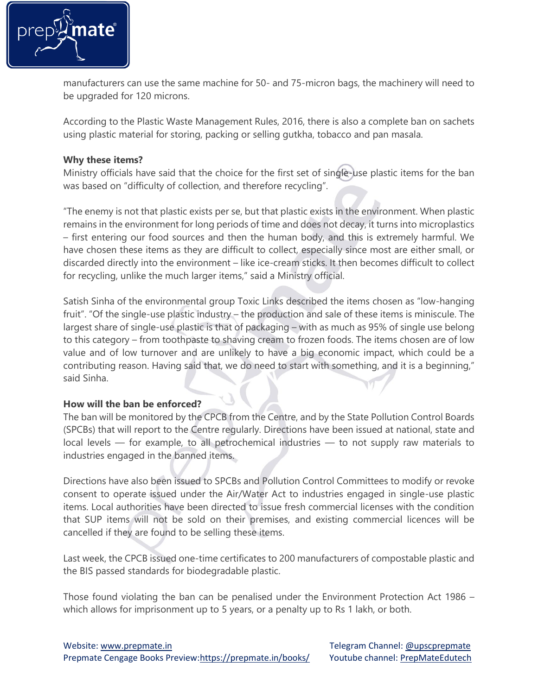

manufacturers can use the same machine for 50- and 75-micron bags, the machinery will need to be upgraded for 120 microns.

According to the Plastic Waste Management Rules, 2016, there is also a complete ban on sachets using plastic material for storing, packing or selling gutkha, tobacco and pan masala.

## **Why these items?**

Ministry officials have said that the choice for the first set of single-use plastic items for the ban was based on "difficulty of collection, and therefore recycling".

"The enemy is not that plastic exists per se, but that plastic exists in the environment. When plastic remains in the environment for long periods of time and does not decay, it turns into microplastics – first entering our food sources and then the human body, and this is extremely harmful. We have chosen these items as they are difficult to collect, especially since most are either small, or discarded directly into the environment – like ice-cream sticks. It then becomes difficult to collect for recycling, unlike the much larger items," said a Ministry official.

Satish Sinha of the environmental group Toxic Links described the items chosen as "low-hanging fruit". "Of the single-use plastic industry – the production and sale of these items is miniscule. The largest share of single-use plastic is that of packaging – with as much as 95% of single use belong to this category – from toothpaste to shaving cream to frozen foods. The items chosen are of low value and of low turnover and are unlikely to have a big economic impact, which could be a contributing reason. Having said that, we do need to start with something, and it is a beginning," said Sinha.

# **How will the ban be enforced?**

The ban will be monitored by the CPCB from the Centre, and by the State Pollution Control Boards (SPCBs) that will report to the Centre regularly. Directions have been issued at national, state and local levels — for example, to all petrochemical industries — to not supply raw materials to industries engaged in the banned items.

Directions have also been issued to SPCBs and Pollution Control Committees to modify or revoke consent to operate issued under the Air/Water Act to industries engaged in single-use plastic items. Local authorities have been directed to issue fresh commercial licenses with the condition that SUP items will not be sold on their premises, and existing commercial licences will be cancelled if they are found to be selling these items.

Last week, the CPCB issued one-time certificates to 200 manufacturers of compostable plastic and the BIS passed standards for biodegradable plastic.

Those found violating the ban can be penalised under the Environment Protection Act 1986 – which allows for imprisonment up to 5 years, or a penalty up to Rs 1 lakh, or both.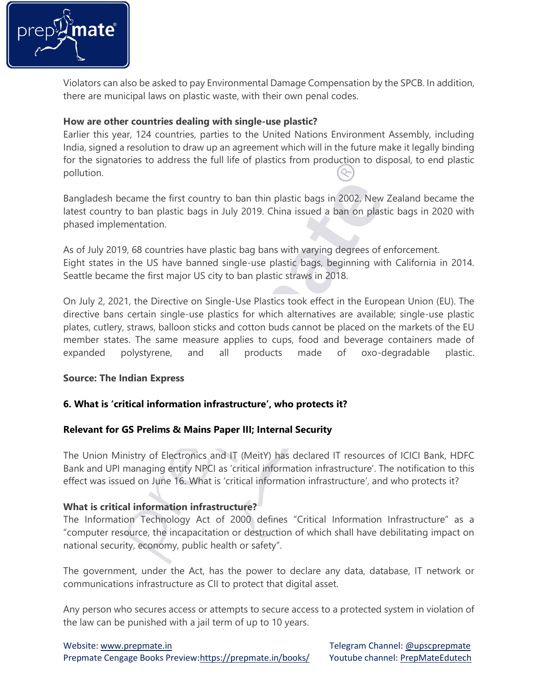

Violators can also be asked to pay Environmental Damage Compensation by the SPCB. In addition, there are municipal laws on plastic waste, with their own penal codes.

# **How are other countries dealing with single-use plastic?**

Earlier this year, 124 countries, parties to the United Nations Environment Assembly, including India, signed a resolution to draw up an agreement which will in the future make it legally binding for the signatories to address the full life of plastics from production to disposal, to end plastic pollution.

Bangladesh became the first country to ban thin plastic bags in 2002. New Zealand became the latest country to ban plastic bags in July 2019. China issued a ban on plastic bags in 2020 with phased implementation.

As of July 2019, 68 countries have plastic bag bans with varying degrees of enforcement. Eight states in the US have banned single-use plastic bags, beginning with California in 2014. Seattle became the first major US city to ban plastic straws in 2018.

On July 2, 2021, the Directive on Single-Use Plastics took effect in the European Union (EU). The directive bans certain single-use plastics for which alternatives are available; single-use plastic plates, cutlery, straws, balloon sticks and cotton buds cannot be placed on the markets of the EU member states. The same measure applies to cups, food and beverage containers made of expanded polystyrene, and all products made of oxo-degradable plastic.

# **Source: The Indian Express**

# **6. What is 'critical information infrastructure', who protects it?**

# **Relevant for GS Prelims & Mains Paper III; Internal Security**

The Union Ministry of Electronics and IT (MeitY) has declared IT resources of ICICI Bank, HDFC Bank and UPI managing entity NPCI as 'critical information infrastructure'. The notification to this effect was issued on June 16. What is 'critical information infrastructure', and who protects it?

## **What is critical information infrastructure?**

The Information Technology Act of 2000 defines "Critical Information Infrastructure" as a "computer resource, the incapacitation or destruction of which shall have debilitating impact on national security, economy, public health or safety".

The government, under the Act, has the power to declare any data, database, IT network or communications infrastructure as CII to protect that digital asset.

Any person who secures access or attempts to secure access to a protected system in violation of the law can be punished with a jail term of up to 10 years.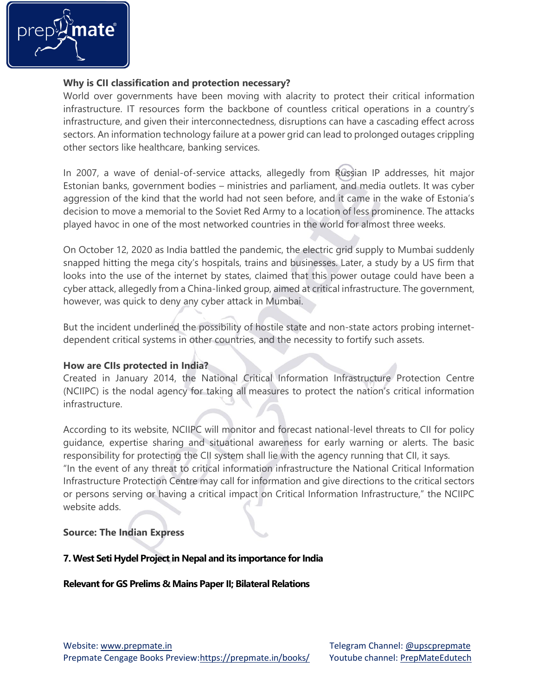

## **Why is CII classification and protection necessary?**

World over governments have been moving with alacrity to protect their critical information infrastructure. IT resources form the backbone of countless critical operations in a country's infrastructure, and given their interconnectedness, disruptions can have a cascading effect across sectors. An information technology failure at a power grid can lead to prolonged outages crippling other sectors like healthcare, banking services.

In 2007, a wave of denial-of-service attacks, allegedly from Russian IP addresses, hit major Estonian banks, government bodies – ministries and parliament, and media outlets. It was cyber aggression of the kind that the world had not seen before, and it came in the wake of Estonia's decision to move a memorial to the Soviet Red Army to a location of less prominence. The attacks played havoc in one of the most networked countries in the world for almost three weeks.

On October 12, 2020 as India battled the pandemic, the electric grid supply to Mumbai suddenly snapped hitting the mega city's hospitals, trains and businesses. Later, a study by a US firm that looks into the use of the internet by states, claimed that this power outage could have been a cyber attack, allegedly from a China-linked group, aimed at critical infrastructure. The government, however, was quick to deny any cyber attack in Mumbai.

But the incident underlined the possibility of hostile state and non-state actors probing internetdependent critical systems in other countries, and the necessity to fortify such assets.

## **How are CIIs protected in India?**

Created in January 2014, the National Critical Information Infrastructure Protection Centre (NCIIPC) is the nodal agency for taking all measures to protect the nation's critical information infrastructure.

According to its website, NCIIPC will monitor and forecast national-level threats to CII for policy guidance, expertise sharing and situational awareness for early warning or alerts. The basic responsibility for protecting the CII system shall lie with the agency running that CII, it says. "In the event of any threat to critical information infrastructure the National Critical Information Infrastructure Protection Centre may call for information and give directions to the critical sectors or persons serving or having a critical impact on Critical Information Infrastructure," the NCIIPC website adds.

## **Source: The Indian Express**

## **7. West Seti Hydel Project in Nepal and its importance for India**

#### **Relevant for GS Prelims & Mains Paper II; Bilateral Relations**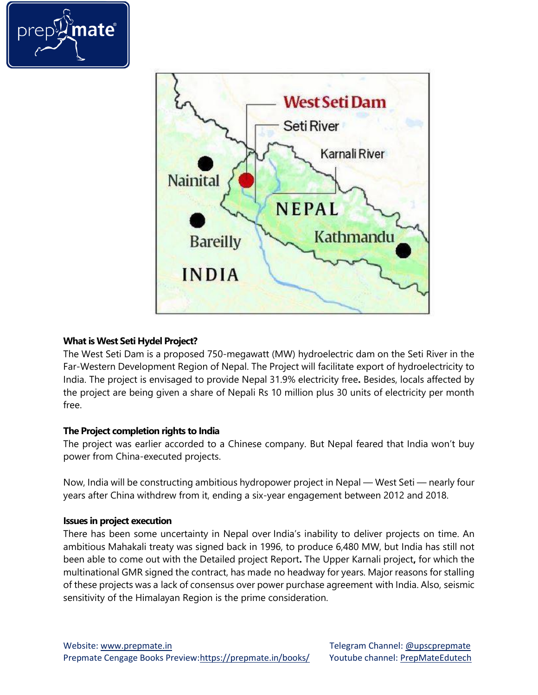



# **What is West Seti Hydel Project?**

The West Seti Dam is a proposed 750-megawatt (MW) hydroelectric dam on the Seti River in the Far-Western Development Region of Nepal. The Project will facilitate export of hydroelectricity to India. The project is envisaged to provide Nepal 31.9% electricity free**.** Besides, locals affected by the project are being given a share of Nepali Rs 10 million plus 30 units of electricity per month free.

## **The Project completion rights to India**

The project was earlier accorded to a Chinese company. But Nepal feared that India won't buy power from China-executed projects.

Now, India will be constructing ambitious hydropower project in Nepal — West Seti — nearly four years after China withdrew from it, ending a six-year engagement between 2012 and 2018.

## **Issues in project execution**

There has been some uncertainty in Nepal over India's inability to deliver projects on time. An ambitious Mahakali treaty was signed back in 1996, to produce 6,480 MW, but India has still not been able to come out with the Detailed project Report**.** The Upper Karnali project**,** for which the multinational GMR signed the contract, has made no headway for years. Major reasons for stalling of these projects was a lack of consensus over power purchase agreement with India. Also, seismic sensitivity of the Himalayan Region is the prime consideration.